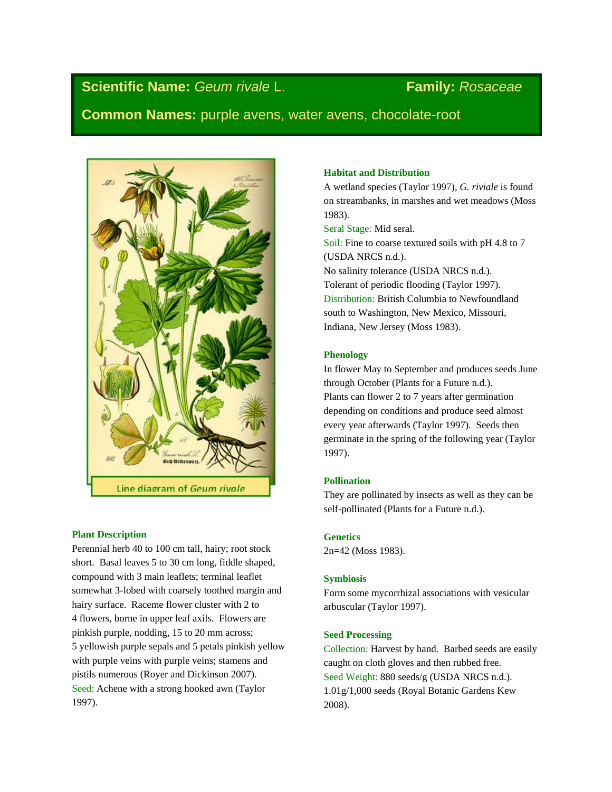# **Scientific Name:** *Geum rivale* L. **Family:** *Rosaceae*

**Common Names:** purple avens, water avens, chocolate-root



# **Plant Description**

Perennial herb 40 to 100 cm tall, hairy; root stock short. Basal leaves 5 to 30 cm long, fiddle shaped, compound with 3 main leaflets; terminal leaflet somewhat 3-lobed with coarsely toothed margin and hairy surface. Raceme flower cluster with 2 to 4 flowers, borne in upper leaf axils. Flowers are pinkish purple, nodding, 15 to 20 mm across; 5 yellowish purple sepals and 5 petals pinkish yellow with purple veins with purple veins; stamens and pistils numerous (Royer and Dickinson 2007). Seed: Achene with a strong hooked awn (Taylor 1997).

# **Habitat and Distribution**

A wetland species (Taylor 1997), *G. riviale* is found on streambanks, in marshes and wet meadows (Moss 1983).

Seral Stage: Mid seral. Soil: Fine to coarse textured soils with pH 4.8 to 7 (USDA NRCS n.d.). No salinity tolerance (USDA NRCS n.d.). Tolerant of periodic flooding (Taylor 1997). Distribution: British Columbia to Newfoundland south to Washington, New Mexico, Missouri, Indiana, New Jersey (Moss 1983).

# **Phenology**

In flower May to September and produces seeds June through October (Plants for a Future n.d.). Plants can flower 2 to 7 years after germination depending on conditions and produce seed almost every year afterwards (Taylor 1997). Seeds then germinate in the spring of the following year (Taylor 1997).

# **Pollination**

They are pollinated by insects as well as they can be self-pollinated (Plants for a Future n.d.).

# **Genetics**

2n=42 (Moss 1983).

## **Symbiosis**

Form some mycorrhizal associations with vesicular arbuscular (Taylor 1997).

# **Seed Processing**

Collection: Harvest by hand. Barbed seeds are easily caught on cloth gloves and then rubbed free. Seed Weight: 880 seeds/g (USDA NRCS n.d.). 1.01g/1,000 seeds (Royal Botanic Gardens Kew 2008).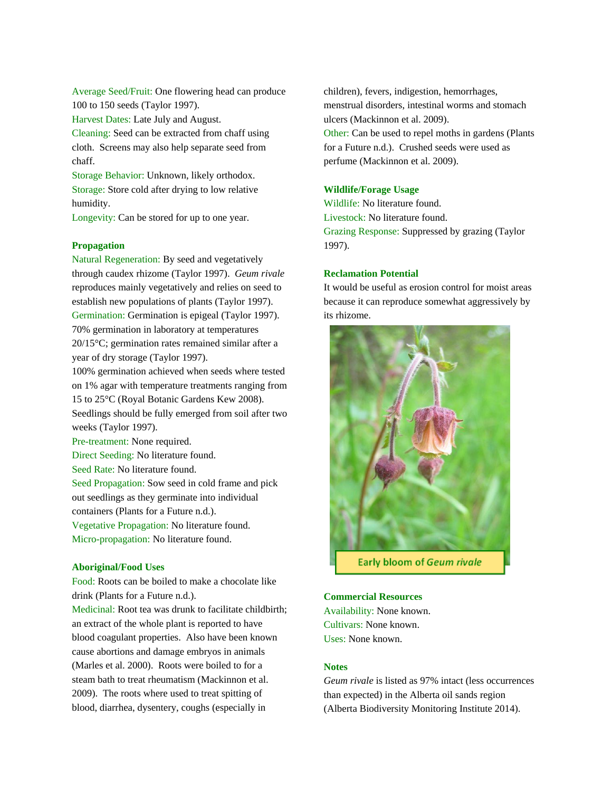Average Seed/Fruit: One flowering head can produce 100 to 150 seeds (Taylor 1997).

Harvest Dates: Late July and August.

Cleaning: Seed can be extracted from chaff using cloth. Screens may also help separate seed from chaff.

Storage Behavior: Unknown, likely orthodox. Storage: Store cold after drying to low relative humidity.

Longevity: Can be stored for up to one year.

# **Propagation**

Natural Regeneration: By seed and vegetatively through caudex rhizome (Taylor 1997). *Geum rivale* reproduces mainly vegetatively and relies on seed to establish new populations of plants (Taylor 1997). Germination: Germination is epigeal (Taylor 1997). 70% germination in laboratory at temperatures 20/15°C; germination rates remained similar after a year of dry storage (Taylor 1997).

100% germination achieved when seeds where tested on 1% agar with temperature treatments ranging from 15 to 25°C (Royal Botanic Gardens Kew 2008). Seedlings should be fully emerged from soil after two weeks (Taylor 1997).

Pre-treatment: None required.

Direct Seeding: No literature found.

Seed Rate: No literature found.

Seed Propagation: Sow seed in cold frame and pick out seedlings as they germinate into individual containers (Plants for a Future n.d.).

Vegetative Propagation: No literature found. Micro-propagation: No literature found.

## **Aboriginal/Food Uses**

Food: Roots can be boiled to make a chocolate like drink (Plants for a Future n.d.).

Medicinal: Root tea was drunk to facilitate childbirth; an extract of the whole plant is reported to have blood coagulant properties. Also have been known cause abortions and damage embryos in animals (Marles et al. 2000). Roots were boiled to for a steam bath to treat rheumatism (Mackinnon et al. 2009). The roots where used to treat spitting of blood, diarrhea, dysentery, coughs (especially in

children), fevers, indigestion, hemorrhages, menstrual disorders, intestinal worms and stomach ulcers (Mackinnon et al. 2009). Other: Can be used to repel moths in gardens (Plants

for a Future n.d.). Crushed seeds were used as perfume (Mackinnon et al. 2009).

## **Wildlife/Forage Usage**

Wildlife: No literature found. Livestock: No literature found. Grazing Response: Suppressed by grazing (Taylor 1997).

#### **Reclamation Potential**

It would be useful as erosion control for moist areas because it can reproduce somewhat aggressively by its rhizome.



#### **Commercial Resources**

Availability: None known. Cultivars: None known. Uses: None known.

#### **Notes**

*Geum rivale* is listed as 97% intact (less occurrences than expected) in the Alberta oil sands region (Alberta Biodiversity Monitoring Institute 2014).